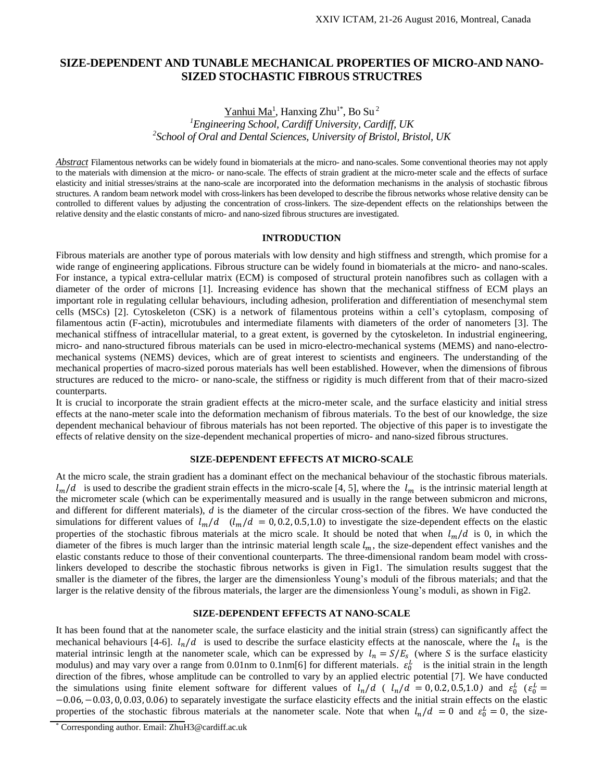## **SIZE-DEPENDENT AND TUNABLE MECHANICAL PROPERTIES OF MICRO-AND NANO-SIZED STOCHASTIC FIBROUS STRUCTRES**

# Yanhui Ma<sup>1</sup>, Hanxing Zhu<sup>1\*</sup>, Bo Su<sup>2</sup> *<sup>1</sup>Engineering School, Cardiff University, Cardiff, UK 2 School of Oral and Dental Sciences, University of Bristol, Bristol, UK*

*Abstract* Filamentous networks can be widely found in biomaterials at the micro- and nano-scales. Some conventional theories may not apply to the materials with dimension at the micro- or nano-scale. The effects of strain gradient at the micro-meter scale and the effects of surface elasticity and initial stresses/strains at the nano-scale are incorporated into the deformation mechanisms in the analysis of stochastic fibrous structures. A random beam network model with cross-linkers has been developed to describe the fibrous networks whose relative density can be controlled to different values by adjusting the concentration of cross-linkers. The size-dependent effects on the relationships between the relative density and the elastic constants of micro- and nano-sized fibrous structures are investigated.

### **INTRODUCTION**

Fibrous materials are another type of porous materials with low density and high stiffness and strength, which promise for a wide range of engineering applications. Fibrous structure can be widely found in biomaterials at the micro- and nano-scales. For instance, a typical extra-cellular matrix (ECM) is composed of structural protein nanofibres such as collagen with a diameter of the order of microns [1]. Increasing evidence has shown that the mechanical stiffness of ECM plays an important role in regulating cellular behaviours, including adhesion, proliferation and differentiation of mesenchymal stem cells (MSCs) [2]. Cytoskeleton (CSK) is a network of filamentous proteins within a cell's cytoplasm, composing of filamentous actin (F-actin), microtubules and intermediate filaments with diameters of the order of nanometers [3]. The mechanical stiffness of intracellular material, to a great extent, is governed by the cytoskeleton. In industrial engineering, micro- and nano-structured fibrous materials can be used in micro-electro-mechanical systems (MEMS) and nano-electromechanical systems (NEMS) devices, which are of great interest to scientists and engineers. The understanding of the mechanical properties of macro-sized porous materials has well been established. However, when the dimensions of fibrous structures are reduced to the micro- or nano-scale, the stiffness or rigidity is much different from that of their macro-sized counterparts.

It is crucial to incorporate the strain gradient effects at the micro-meter scale, and the surface elasticity and initial stress effects at the nano-meter scale into the deformation mechanism of fibrous materials. To the best of our knowledge, the size dependent mechanical behaviour of fibrous materials has not been reported. The objective of this paper is to investigate the effects of relative density on the size-dependent mechanical properties of micro- and nano-sized fibrous structures.

#### **SIZE-DEPENDENT EFFECTS AT MICRO-SCALE**

At the micro scale, the strain gradient has a dominant effect on the mechanical behaviour of the stochastic fibrous materials.  $l_m/d$  is used to describe the gradient strain effects in the micro-scale [4, 5], where the  $l_m$  is the intrinsic material length at the micrometer scale (which can be experimentally measured and is usually in the range between submicron and microns, and different for different materials), *d* is the diameter of the circular cross-section of the fibres. We have conducted the simulations for different values of  $l_m/d$  ( $l_m/d = 0, 0.2, 0.5, 1.0$ ) to investigate the size-dependent effects on the elastic properties of the stochastic fibrous materials at the micro scale. It should be noted that when  $l_m/d$  is 0, in which the diameter of the fibres is much larger than the intrinsic material length scale  $l_m$ , the size-dependent effect vanishes and the elastic constants reduce to those of their conventional counterparts. The three-dimensional random beam model with crosslinkers developed to describe the stochastic fibrous networks is given in Fig1. The simulation results suggest that the smaller is the diameter of the fibres, the larger are the dimensionless Young's moduli of the fibrous materials; and that the larger is the relative density of the fibrous materials, the larger are the dimensionless Young's moduli, as shown in Fig2.

### **SIZE-DEPENDENT EFFECTS AT NANO-SCALE**

It has been found that at the nanometer scale, the surface elasticity and the initial strain (stress) can significantly affect the mechanical behaviours [4-6].  $l_n/d$  is used to describe the surface elasticity effects at the nanoscale, where the  $l_n$  is the material intrinsic length at the nanometer scale, which can be expressed by  $l_n = S/E_s$  (where S is the surface elasticity modulus) and may vary over a range from 0.01nm to 0.1nm[6] for different materials.  $\varepsilon_0^L$  is the initial strain in the length direction of the fibres, whose amplitude can be controlled to vary by an applied electric potential [7]. We have conducted the simulations using finite element software for different values of  $l_n/d$  ( $l_n/d = 0, 0.2, 0.5, 1.0$ ) and  $\varepsilon_0^L$  ( $\varepsilon_0^L$  = −0.06,−0.03, 0, 0.03, 0.06) to separately investigate the surface elasticity effects and the initial strain effects on the elastic properties of the stochastic fibrous materials at the nanometer scale. Note that when  $l_n/d = 0$  and  $\varepsilon_0^L = 0$ , the size-

<sup>\*</sup> Corresponding author. Email: ZhuH3@cardiff.ac.uk